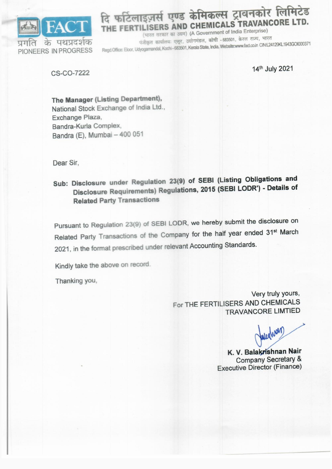

## दि फर्टिलाइज़र्स एण्ड केमिकल्स ट्रावनकोर लिमिटेड THE FERTILISERS AND CHEMICALS TRAVANCORE LTD.

(भारत सरकार का उद्यम) (A Government of India Enterprise) पंजीकृत कार्यालयः एलूर, उद्योगमंडल, कोची - 683501, केरल राज्य, भारत Regd.Office: Eloor, Udyogamandal, Kochi - 683501, Kerala State, India. Website:www.fact.co.in CIN:L24129KL1943GOI000371

**CS-CO-7222** 

14th July 2021

The Manager (Listing Department), National Stock Exchange of India Ltd., Exchange Plaza, Bandra-Kurla Complex, Bandra (E), Mumbai - 400 051

Dear Sir.

Sub: Disclosure under Regulation 23(9) of SEBI (Listing Obligations and Disclosure Requirements) Regulations, 2015 (SEBI LODR') - Details of **Related Party Transactions** 

Pursuant to Regulation 23(9) of SEBI LODR, we hereby submit the disclosure on Related Party Transactions of the Company for the half year ended 31st March 2021, in the format prescribed under relevant Accounting Standards.

Kindly take the above on record.

Thanking you,

Very truly yours, For THE FERTILISERS AND CHEMICALS **TRAVANCORE LIMTIED** 

K. V. Balakrishnan Nair **Company Secretary & Executive Director (Finance)**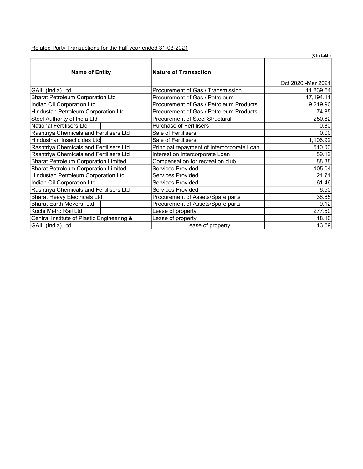Related Party Transactions for the half year ended 31-03-2021

|                                             |                                            | (₹ In Lakh)         |
|---------------------------------------------|--------------------------------------------|---------------------|
| <b>Name of Entity</b>                       | <b>Nature of Transaction</b>               |                     |
|                                             | Procurement of Gas / Transmission          | Oct 2020 - Mar 2021 |
| GAIL (India) Ltd                            |                                            | 11,839.64           |
| <b>Bharat Petroleum Corporation Ltd</b>     | Procurement of Gas / Petroleum             | 17,194.11           |
| Indian Oil Corporation Ltd                  | Procurement of Gas / Petroleum Products    | 9,219.90            |
| Hindustan Petroleum Corporation Ltd         | Procurement of Gas / Petroleum Products    | 74.85               |
| Steel Authority of India Ltd                | <b>Procurement of Steel Structural</b>     | 250.82              |
| <b>National Fertilisers Ltd</b>             | <b>Purchase of Fertilisers</b>             | 0.80                |
| Rashtriya Chemicals and Fertilisers Ltd     | Sale of Fertilisers                        | 0.00                |
| Hindusthan Insecticides Ltd                 | Sale of Fertilisers                        | 1,106.92            |
| Rashtriya Chemicals and Fertilisers Ltd     | Principal repayment of Intercorporate Loan | 510.00              |
| Rashtriya Chemicals and Fertilisers Ltd     | Interest on Intercorporate Loan            | 89.12               |
| <b>Bharat Petroleum Corporation Limited</b> | Compensation for recreation club           | 88.88               |
| <b>Bharat Petroleum Corporation Limited</b> | Services Provided                          | 105.04              |
| Hindustan Petroleum Corporation Ltd         | <b>Services Provided</b>                   | 24.74               |
| Indian Oil Corporation Ltd                  | <b>Services Provided</b>                   | 61.46               |
| Rashtriya Chemicals and Fertilisers Ltd     | Services Provided                          | 6.50                |
| <b>Bharat Heavy Electricals Ltd</b>         | Procurement of Assets/Spare parts          | 38.65               |
| <b>Bharat Earth Movers Ltd</b>              | Procurement of Assets/Spare parts          | 9.12                |
| Kochi Metro Rail Ltd                        | Lease of property                          | 277.50              |
| Central Institute of Plastic Engineering &  | Lease of property                          | 18.10               |
| GAIL (India) Ltd                            | Lease of property                          | 13.69               |